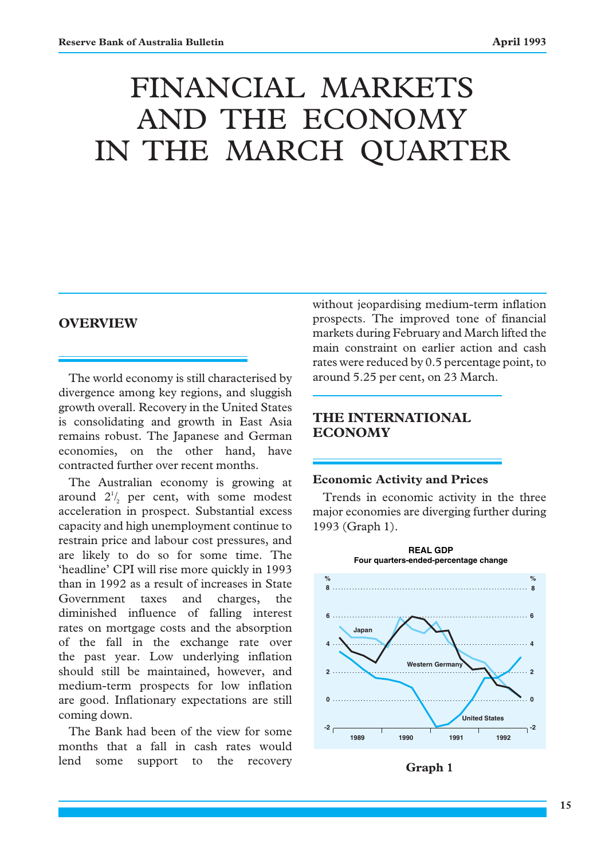# FINANCIAL MARKETS AND THE ECONOMY IN THE MARCH QUARTER

## **OVERVIEW**

The world economy is still characterised by divergence among key regions, and sluggish growth overall. Recovery in the United States is consolidating and growth in East Asia remains robust. The Japanese and German economies, on the other hand, have contracted further over recent months.

The Australian economy is growing at around  $2^{1/2}$  per cent, with some modest acceleration in prospect. Substantial excess capacity and high unemployment continue to restrain price and labour cost pressures, and are likely to do so for some time. The 'headline' CPI will rise more quickly in 1993 than in 1992 as a result of increases in State Government taxes and charges, the diminished influence of falling interest rates on mortgage costs and the absorption of the fall in the exchange rate over the past year. Low underlying inflation should still be maintained, however, and medium-term prospects for low inflation are good. Inflationary expectations are still coming down.

The Bank had been of the view for some months that a fall in cash rates would lend some support to the recovery

without jeopardising medium-term inflation prospects. The improved tone of financial markets during February and March lifted the main constraint on earlier action and cash rates were reduced by 0.5 percentage point, to around 5.25 per cent, on 23 March.

## **THE INTERNATIONAL ECONOMY**

## **Economic Activity and Prices**

Trends in economic activity in the three major economies are diverging further during 1993 (Graph 1).



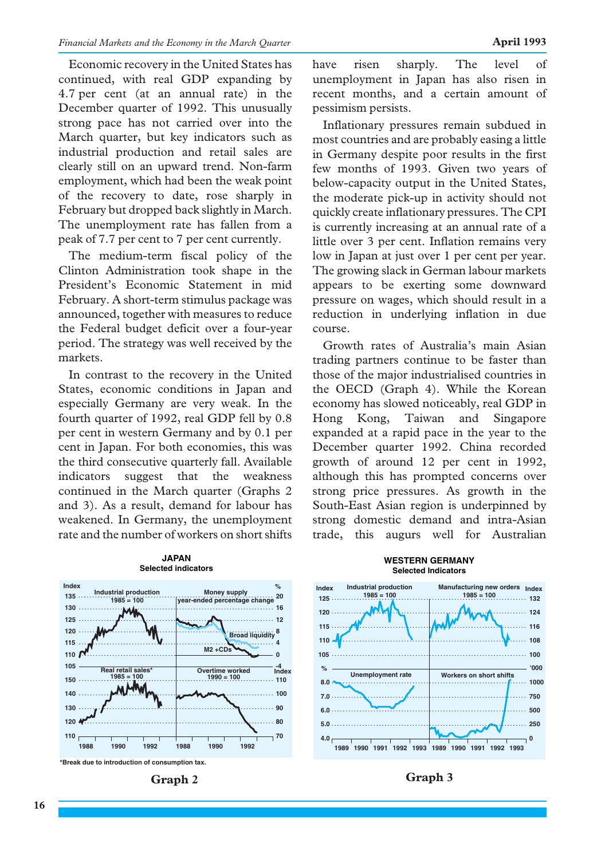Economic recovery in the United States has continued, with real GDP expanding by 4.7 per cent (at an annual rate) in the December quarter of 1992. This unusually strong pace has not carried over into the March quarter, but key indicators such as industrial production and retail sales are clearly still on an upward trend. Non-farm employment, which had been the weak point of the recovery to date, rose sharply in February but dropped back slightly in March. The unemployment rate has fallen from a peak of 7.7 per cent to 7 per cent currently.

The medium-term fiscal policy of the Clinton Administration took shape in the President's Economic Statement in mid February. A short-term stimulus package was announced, together with measures to reduce the Federal budget deficit over a four-year period. The strategy was well received by the markets.

In contrast to the recovery in the United States, economic conditions in Japan and especially Germany are very weak. In the fourth quarter of 1992, real GDP fell by 0.8 per cent in western Germany and by 0.1 per cent in Japan. For both economies, this was the third consecutive quarterly fall. Available indicators suggest that the weakness continued in the March quarter (Graphs 2 and 3). As a result, demand for labour has weakened. In Germany, the unemployment rate and the number of workers on short shifts

**JAPAN**

have risen sharply. The level of unemployment in Japan has also risen in recent months, and a certain amount of pessimism persists.

Inflationary pressures remain subdued in most countries and are probably easing a little in Germany despite poor results in the first few months of 1993. Given two years of below-capacity output in the United States, the moderate pick-up in activity should not quickly create inflationary pressures. The CPI is currently increasing at an annual rate of a little over 3 per cent. Inflation remains very low in Japan at just over 1 per cent per year. The growing slack in German labour markets appears to be exerting some downward pressure on wages, which should result in a reduction in underlying inflation in due course.

Growth rates of Australia's main Asian trading partners continue to be faster than those of the major industrialised countries in the OECD (Graph 4). While the Korean economy has slowed noticeably, real GDP in Hong Kong, Taiwan and Singapore expanded at a rapid pace in the year to the December quarter 1992. China recorded growth of around 12 per cent in 1992, although this has prompted concerns over strong price pressures. As growth in the South-East Asian region is underpinned by strong domestic demand and intra-Asian trade, this augurs well for Australian





#### **WESTERN GERMANY Selected Indicators**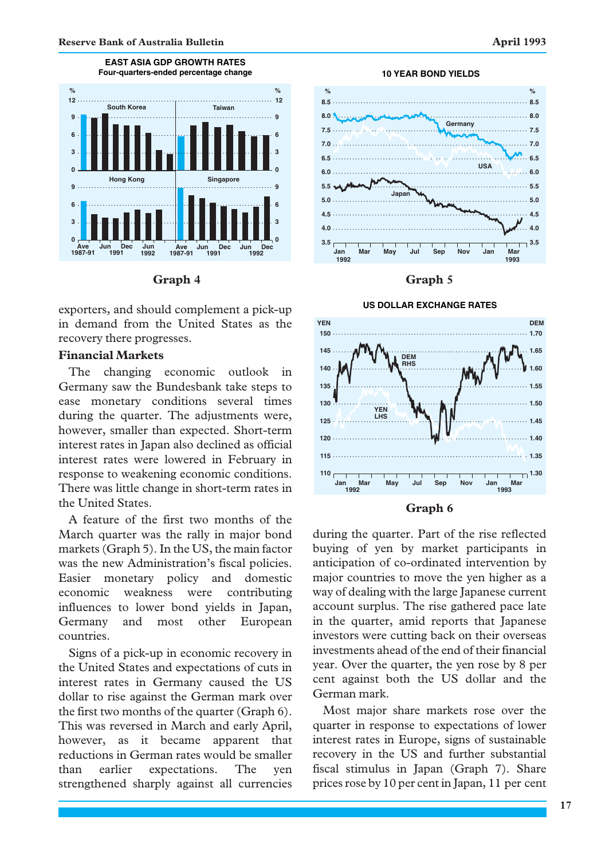

**EAST ASIA GDP GROWTH RATES**



exporters, and should complement a pick-up in demand from the United States as the recovery there progresses.

### **Financial Markets**

The changing economic outlook in Germany saw the Bundesbank take steps to ease monetary conditions several times during the quarter. The adjustments were, however, smaller than expected. Short-term interest rates in Japan also declined as official interest rates were lowered in February in response to weakening economic conditions. There was little change in short-term rates in the United States.

A feature of the first two months of the March quarter was the rally in major bond markets (Graph 5). In the US, the main factor was the new Administration's fiscal policies. Easier monetary policy and domestic economic weakness were contributing influences to lower bond yields in Japan, Germany and most other European countries.

Signs of a pick-up in economic recovery in the United States and expectations of cuts in interest rates in Germany caused the US dollar to rise against the German mark over the first two months of the quarter (Graph 6). This was reversed in March and early April, however, as it became apparent that reductions in German rates would be smaller than earlier expectations. The yen strengthened sharply against all currencies



**10 YEAR BOND YIELDS**

#### **Graph 4 Graph 5**





during the quarter. Part of the rise reflected buying of yen by market participants in anticipation of co-ordinated intervention by major countries to move the yen higher as a way of dealing with the large Japanese current account surplus. The rise gathered pace late in the quarter, amid reports that Japanese investors were cutting back on their overseas investments ahead of the end of their financial year. Over the quarter, the yen rose by 8 per cent against both the US dollar and the German mark.

Most major share markets rose over the quarter in response to expectations of lower interest rates in Europe, signs of sustainable recovery in the US and further substantial fiscal stimulus in Japan (Graph 7). Share prices rose by 10 per cent in Japan, 11 per cent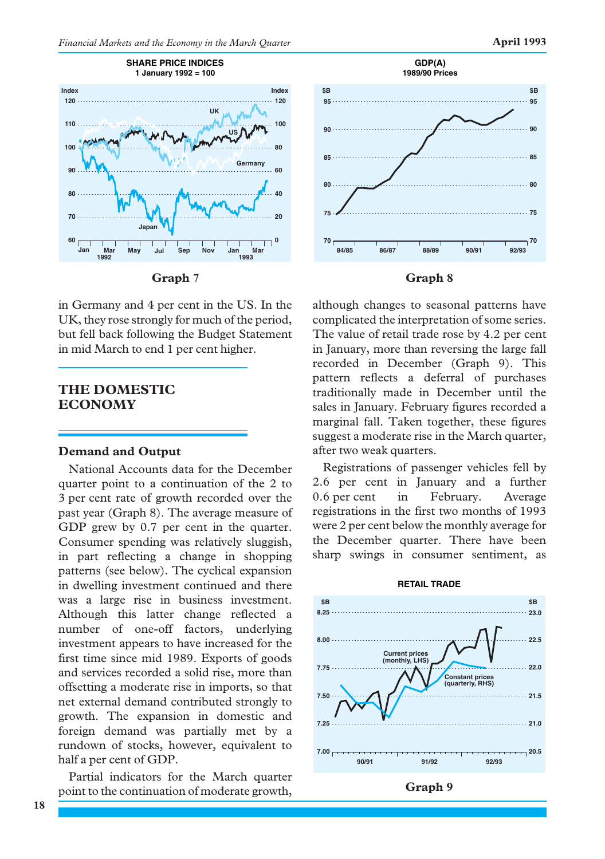



in Germany and 4 per cent in the US. In the UK, they rose strongly for much of the period, but fell back following the Budget Statement in mid March to end 1 per cent higher.

## **THE DOMESTIC ECONOMY**

#### **Demand and Output**

National Accounts data for the December quarter point to a continuation of the 2 to 3 per cent rate of growth recorded over the past year (Graph 8). The average measure of GDP grew by 0.7 per cent in the quarter. Consumer spending was relatively sluggish, in part reflecting a change in shopping patterns (see below). The cyclical expansion in dwelling investment continued and there was a large rise in business investment. Although this latter change reflected a number of one-off factors, underlying investment appears to have increased for the first time since mid 1989. Exports of goods and services recorded a solid rise, more than offsetting a moderate rise in imports, so that net external demand contributed strongly to growth. The expansion in domestic and foreign demand was partially met by a rundown of stocks, however, equivalent to half a per cent of GDP.

Partial indicators for the March quarter point to the continuation of moderate growth,



although changes to seasonal patterns have complicated the interpretation of some series. The value of retail trade rose by 4.2 per cent in January, more than reversing the large fall recorded in December (Graph 9). This pattern reflects a deferral of purchases traditionally made in December until the sales in January. February figures recorded a marginal fall. Taken together, these figures suggest a moderate rise in the March quarter, after two weak quarters.

Registrations of passenger vehicles fell by 2.6 per cent in January and a further 0.6 per cent in February. Average registrations in the first two months of 1993 were 2 per cent below the monthly average for the December quarter. There have been sharp swings in consumer sentiment, as



#### **RETAIL TRADE**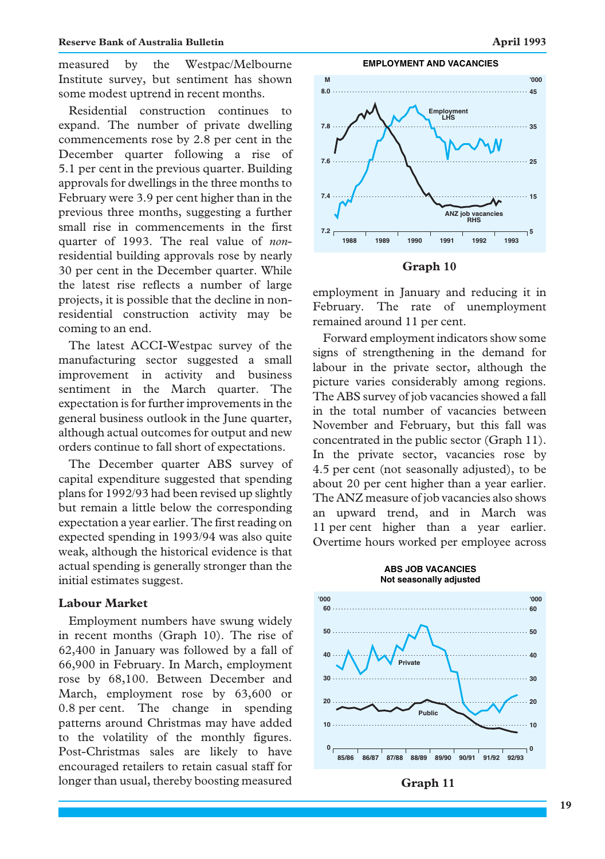measured by the Westpac/Melbourne Institute survey, but sentiment has shown some modest uptrend in recent months.

Residential construction continues to expand. The number of private dwelling commencements rose by 2.8 per cent in the December quarter following a rise of 5.1 per cent in the previous quarter. Building approvals for dwellings in the three months to February were 3.9 per cent higher than in the previous three months, suggesting a further small rise in commencements in the first quarter of 1993. The real value of *non*residential building approvals rose by nearly 30 per cent in the December quarter. While the latest rise reflects a number of large projects, it is possible that the decline in nonresidential construction activity may be coming to an end.

The latest ACCI-Westpac survey of the manufacturing sector suggested a small improvement in activity and business sentiment in the March quarter. The expectation is for further improvements in the general business outlook in the June quarter, although actual outcomes for output and new orders continue to fall short of expectations.

The December quarter ABS survey of capital expenditure suggested that spending plans for 1992/93 had been revised up slightly but remain a little below the corresponding expectation a year earlier. The first reading on expected spending in 1993/94 was also quite weak, although the historical evidence is that actual spending is generally stronger than the initial estimates suggest.

## **Labour Market**

Employment numbers have swung widely in recent months (Graph 10). The rise of 62,400 in January was followed by a fall of 66,900 in February. In March, employment rose by 68,100. Between December and March, employment rose by 63,600 or 0.8 per cent. The change in spending patterns around Christmas may have added to the volatility of the monthly figures. Post-Christmas sales are likely to have encouraged retailers to retain casual staff for longer than usual, thereby boosting measured



**Graph 10**

employment in January and reducing it in February. The rate of unemployment remained around 11 per cent.

Forward employment indicators show some signs of strengthening in the demand for labour in the private sector, although the picture varies considerably among regions. The ABS survey of job vacancies showed a fall in the total number of vacancies between November and February, but this fall was concentrated in the public sector (Graph 11). In the private sector, vacancies rose by 4.5 per cent (not seasonally adjusted), to be about 20 per cent higher than a year earlier. The ANZ measure of job vacancies also shows an upward trend, and in March was 11 per cent higher than a year earlier. Overtime hours worked per employee across



#### **ABS JOB VACANCIES Not seasonally adjusted**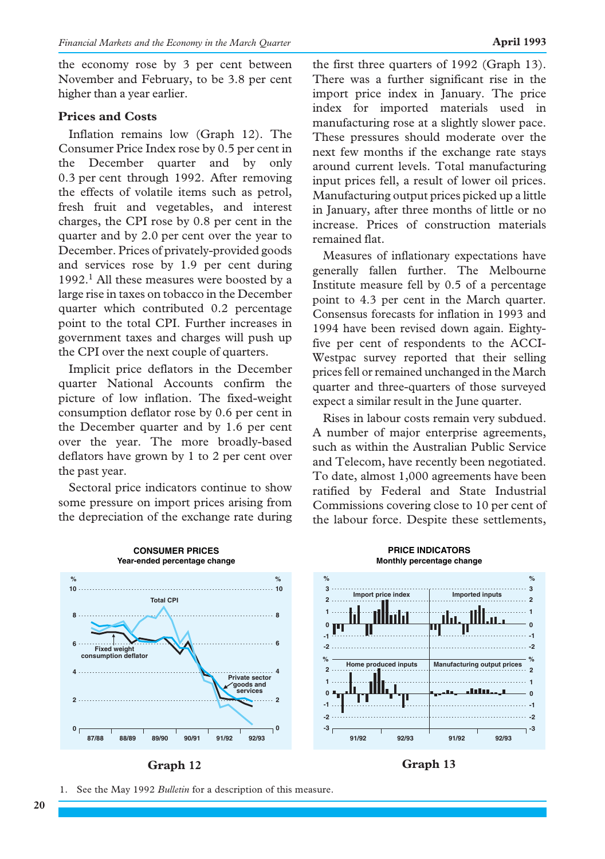the economy rose by 3 per cent between November and February, to be 3.8 per cent higher than a year earlier.

## **Prices and Costs**

Inflation remains low (Graph 12). The Consumer Price Index rose by 0.5 per cent in the December quarter and by only 0.3 per cent through 1992. After removing the effects of volatile items such as petrol, fresh fruit and vegetables, and interest charges, the CPI rose by 0.8 per cent in the quarter and by 2.0 per cent over the year to December. Prices of privately-provided goods and services rose by 1.9 per cent during 1992.<sup>1</sup> All these measures were boosted by a large rise in taxes on tobacco in the December quarter which contributed 0.2 percentage point to the total CPI. Further increases in government taxes and charges will push up the CPI over the next couple of quarters.

Implicit price deflators in the December quarter National Accounts confirm the picture of low inflation. The fixed-weight consumption deflator rose by 0.6 per cent in the December quarter and by 1.6 per cent over the year. The more broadly-based deflators have grown by 1 to 2 per cent over the past year.

Sectoral price indicators continue to show some pressure on import prices arising from the depreciation of the exchange rate during the first three quarters of 1992 (Graph 13). There was a further significant rise in the import price index in January. The price index for imported materials used in manufacturing rose at a slightly slower pace. These pressures should moderate over the next few months if the exchange rate stays around current levels. Total manufacturing input prices fell, a result of lower oil prices. Manufacturing output prices picked up a little in January, after three months of little or no increase. Prices of construction materials remained flat.

Measures of inflationary expectations have generally fallen further. The Melbourne Institute measure fell by 0.5 of a percentage point to 4.3 per cent in the March quarter. Consensus forecasts for inflation in 1993 and 1994 have been revised down again. Eightyfive per cent of respondents to the ACCI-Westpac survey reported that their selling prices fell or remained unchanged in the March quarter and three-quarters of those surveyed expect a similar result in the June quarter.

Rises in labour costs remain very subdued. A number of major enterprise agreements, such as within the Australian Public Service and Telecom, have recently been negotiated. To date, almost 1,000 agreements have been ratified by Federal and State Industrial Commissions covering close to 10 per cent of the labour force. Despite these settlements,





1. See the May 1992 *Bulletin* for a description of this measure.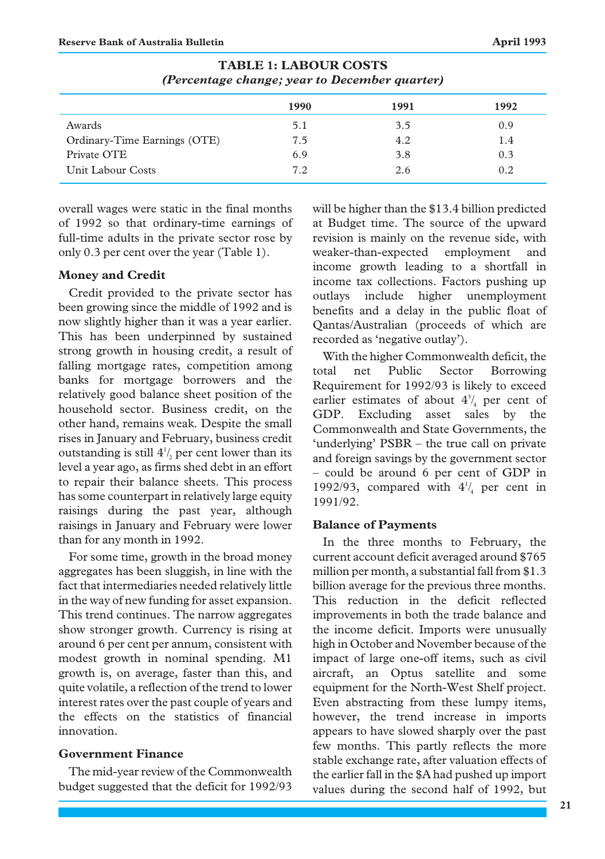|                              | 1990 | 1991 | 1992 |
|------------------------------|------|------|------|
| Awards                       | 5.1  | 3.5  | 0.9  |
| Ordinary-Time Earnings (OTE) | 7.5  | 4.2  | 1.4  |
| Private OTE                  | 6.9  | 3.8  | 0.3  |
| Unit Labour Costs            | 7.2  | 2.6  | 0.2  |

**TABLE 1: LABOUR COSTS** *(Percentage change; year to December quarter)*

overall wages were static in the final months of 1992 so that ordinary-time earnings of full-time adults in the private sector rose by only 0.3 per cent over the year (Table 1).

#### **Money and Credit**

Credit provided to the private sector has been growing since the middle of 1992 and is now slightly higher than it was a year earlier. This has been underpinned by sustained strong growth in housing credit, a result of falling mortgage rates, competition among banks for mortgage borrowers and the relatively good balance sheet position of the household sector. Business credit, on the other hand, remains weak. Despite the small rises in January and February, business credit outstanding is still  $4\frac{1}{2}$  per cent lower than its level a year ago, as firms shed debt in an effort to repair their balance sheets. This process has some counterpart in relatively large equity raisings during the past year, although raisings in January and February were lower than for any month in 1992.

For some time, growth in the broad money aggregates has been sluggish, in line with the fact that intermediaries needed relatively little in the way of new funding for asset expansion. This trend continues. The narrow aggregates show stronger growth. Currency is rising at around 6 per cent per annum, consistent with modest growth in nominal spending. M1 growth is, on average, faster than this, and quite volatile, a reflection of the trend to lower interest rates over the past couple of years and the effects on the statistics of financial innovation.

## **Government Finance**

The mid-year review of the Commonwealth budget suggested that the deficit for 1992/93 will be higher than the \$13.4 billion predicted at Budget time. The source of the upward revision is mainly on the revenue side, with weaker-than-expected employment and income growth leading to a shortfall in income tax collections. Factors pushing up outlays include higher unemployment benefits and a delay in the public float of Qantas/Australian (proceeds of which are recorded as 'negative outlay').

With the higher Commonwealth deficit, the total net Public Sector Borrowing Requirement for 1992/93 is likely to exceed earlier estimates of about  $4^3/4$  per cent of GDP. Excluding asset sales by the Commonwealth and State Governments, the 'underlying' PSBR – the true call on private and foreign savings by the government sector – could be around 6 per cent of GDP in 1992/93, compared with  $4\frac{1}{4}$  per cent in 1991/92.

#### **Balance of Payments**

In the three months to February, the current account deficit averaged around \$765 million per month, a substantial fall from \$1.3 billion average for the previous three months. This reduction in the deficit reflected improvements in both the trade balance and the income deficit. Imports were unusually high in October and November because of the impact of large one-off items, such as civil aircraft, an Optus satellite and some equipment for the North-West Shelf project. Even abstracting from these lumpy items, however, the trend increase in imports appears to have slowed sharply over the past few months. This partly reflects the more stable exchange rate, after valuation effects of the earlier fall in the \$A had pushed up import values during the second half of 1992, but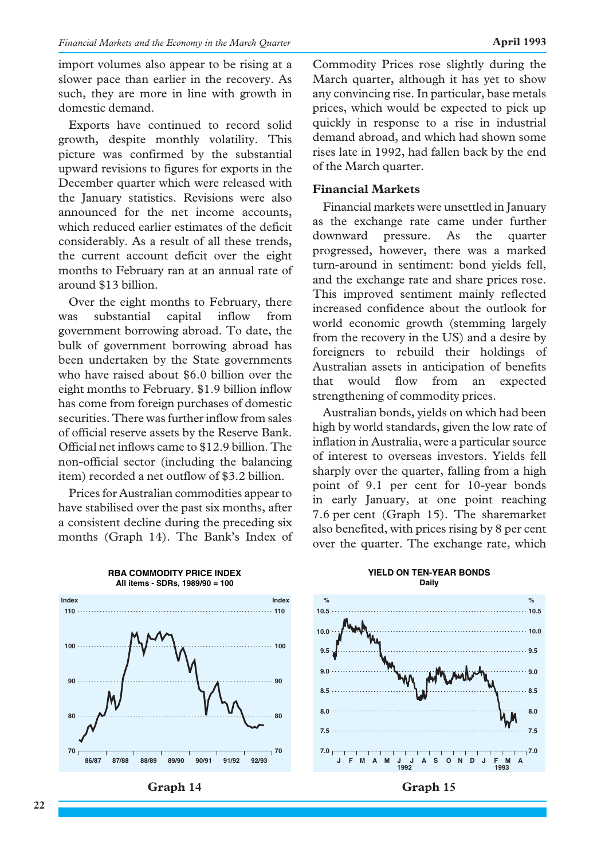import volumes also appear to be rising at a slower pace than earlier in the recovery. As such, they are more in line with growth in domestic demand.

Exports have continued to record solid growth, despite monthly volatility. This picture was confirmed by the substantial upward revisions to figures for exports in the December quarter which were released with the January statistics. Revisions were also announced for the net income accounts, which reduced earlier estimates of the deficit considerably. As a result of all these trends, the current account deficit over the eight months to February ran at an annual rate of around \$13 billion.

Over the eight months to February, there was substantial capital inflow from government borrowing abroad. To date, the bulk of government borrowing abroad has been undertaken by the State governments who have raised about \$6.0 billion over the eight months to February. \$1.9 billion inflow has come from foreign purchases of domestic securities. There was further inflow from sales of official reserve assets by the Reserve Bank. Official net inflows came to \$12.9 billion. The non-official sector (including the balancing item) recorded a net outflow of \$3.2 billion.

Prices for Australian commodities appear to have stabilised over the past six months, after a consistent decline during the preceding six months (Graph 14). The Bank's Index of Commodity Prices rose slightly during the March quarter, although it has yet to show any convincing rise. In particular, base metals prices, which would be expected to pick up quickly in response to a rise in industrial demand abroad, and which had shown some rises late in 1992, had fallen back by the end of the March quarter.

## **Financial Markets**

Financial markets were unsettled in January as the exchange rate came under further downward pressure. As the quarter progressed, however, there was a marked turn-around in sentiment: bond yields fell, and the exchange rate and share prices rose. This improved sentiment mainly reflected increased confidence about the outlook for world economic growth (stemming largely from the recovery in the US) and a desire by foreigners to rebuild their holdings of Australian assets in anticipation of benefits that would flow from an expected strengthening of commodity prices.

Australian bonds, yields on which had been high by world standards, given the low rate of inflation in Australia, were a particular source of interest to overseas investors. Yields fell sharply over the quarter, falling from a high point of 9.1 per cent for 10-year bonds in early January, at one point reaching 7.6 per cent (Graph 15). The sharemarket also benefited, with prices rising by 8 per cent over the quarter. The exchange rate, which



## **YIELD ON TEN-YEAR BONDS**